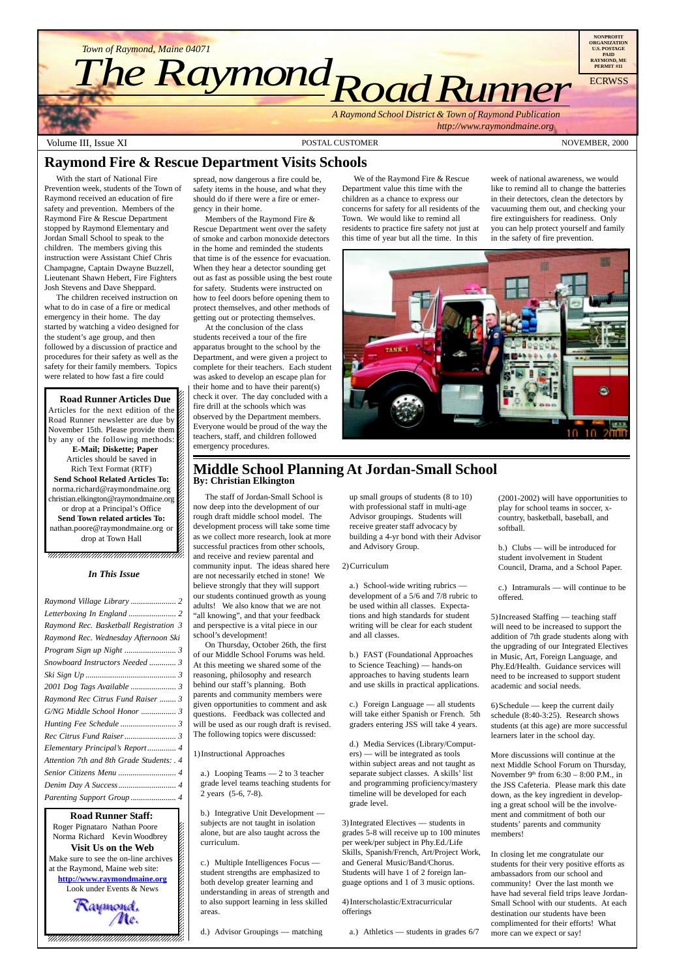$1235678901234567890123456789012345678901234567890123456789012345678901234567890123456789012345678901234567890123456789012345678901234567890123456789012345678901234567890123456789012345678901234567890123456789012345678901$  $\blacksquare$ 12345678901234567890123456789012123456789012345678 12345678901234567890123456789012123456789012345678 12345678901234567890123456789012123456789012345678

Roger Pignataro Nathan Poore & 12345678901234567890123456789012123456789012345678 Norma Richard Kevin Woodbrey &  $18.8$  8  $\pm$  8  $\pm$  8  $\pm$  8  $\pm$  8  $\pm$  8  $\pm$  8  $\pm$  8  $\pm$  8  $\pm$  8  $\pm$  8  $\pm$  8  $\pm$  8  $\pm$  8  $\pm$  8  $\pm$  8  $\pm$  8  $\pm$  8  $\pm$  8  $\pm$  8  $\pm$  8  $\pm$  8  $\pm$  8  $\pm$  8  $\pm$  8  $\pm$  8  $\pm$  8  $\pm$  8  $\pm$  8  $\pm$  8  $\pm$  8  $\$ **Visit Us on the Web** 12345678901234567890123456789012123456789012345678 Make sure to see the on-line archives  $\frac{8}{2}$ at the Raymond, Maine web site: **http://www.raymondmaine.org** 123456789012345678901234567**8** Look under Events & News  $\frac{2}{3}$ 12345678901234567890123456789012123456789012345678

 $18.8$  8  $\pm$  8  $\pm$  8  $\pm$  8  $\pm$  8  $\pm$  8  $\pm$  8  $\pm$  8  $\pm$  8  $\pm$  8  $\pm$  8  $\pm$  8  $\pm$  8  $\pm$  8  $\pm$  8  $\pm$  8  $\pm$  8  $\pm$  8  $\pm$  8  $\pm$  8  $\pm$  8  $\pm$  8  $\pm$  8  $\pm$  8  $\pm$  8  $\pm$  8  $\pm$  8  $\pm$  8  $\pm$  8  $\pm$  8  $\pm$  8  $\$ 

Raymond.<br>Me. 12345678901234567890123456789012123456789012345678 12345678901234567890123456789012123456789012345678 12345678901234567890123456789012123456789012345678 12345678901234567890123456789012123456789012345678 12345678901234567890123456789012123456789012345678



Volume III, Issue XI **POSTAL CUSTOMER** POSTAL CUSTOMER NOVEMBER, 2000

## **Raymond Fire & Rescue Department Visits Schools**

With the start of National Fire Prevention week, students of the Town of Raymond received an education of fire safety and prevention. Members of the Raymond Fire & Rescue Department stopped by Raymond Elementary and Jordan Small School to speak to the children. The members giving this instruction were Assistant Chief Chris Champagne, Captain Dwayne Buzzell, Lieutenant Shawn Hebert, Fire Fighters Josh Stevens and Dave Sheppard.

| Raymond Rec. Basketball Registration 3 |  |
|----------------------------------------|--|
| Raymond Rec. Wednesday Afternoon Ski   |  |
|                                        |  |
| Snowboard Instructors Needed  3        |  |
|                                        |  |
| 2001 Dog Tags Available  3             |  |
| Raymond Rec Citrus Fund Raiser  3      |  |
| G/NG Middle School Honor  3            |  |
|                                        |  |
|                                        |  |

The children received instruction on what to do in case of a fire or medical emergency in their home. The day started by watching a video designed for the student's age group, and then followed by a discussion of practice and procedures for their safety as well as the safety for their family members. Topics were related to how fast a fire could

12345678901234567890123456789012345678901234567890123456789012345678901234567890123456789012345678901234567890 12345678901234567890123456789012123456789012345678  $1235678901234567890123456789012345678901234567890123456789012345678901234567890123456789012345678901234567890123456789012345678901234567890123456789012345678901234567890123456789012345678901234567890123456789012345678901$ 

**Road Runner Articles Due**  $1235678901234567890123456789012345678901234567890123456789012345678901234567890123456789012345678901234567890123456789012345678901234567890123456789012345678901234567890123456789012345678901234567890123456789012345678901$ Articles for the next edition of the  $\%$ Road Runner newsletter are due by  $\mathbb Z$  $\mathbf{1} \cdot \mathbf{1}$ November 15th. Please provide them  $\%$ by any of the following methods: 12345678901234567890123456789012123456789012345678 **E-Mail; Diskette; Paper** Articles should be saved in Rich Text Format (RTF)  $1235678901234567890123456789012345678901234567890123456789012345678901234567890123456789012345678901234567890123456789012345678901234567890123456789012345678901234567890123456789012345678901234567890123456789012345678901$ **Send School Related Articles To:** norma.richard@raymondmaine.org 1 8 christian.elkington@raymondmaine.org $\%$ or drop at a Principal's Office  $\mathscr{L}$ 12345678901234567890123456789012123456789012345678 **Send Town related articles To:** nathan.poore@raymondmaine.org or  $\mathscr{D}$ drop at Town Hall  $123567890$  spread, now dangerous a fire could be, safety items in the house, and what they should do if there were a fire or emergency in their home.

Members of the Raymond Fire & Rescue Department went over the safety of smoke and carbon monoxide detectors in the home and reminded the students that time is of the essence for evacuation. When they hear a detector sounding get out as fast as possible using the best route for safety. Students were instructed on how to feel doors before opening them to protect themselves, and other methods of getting out or protecting themselves.

At the conclusion of the class students received a tour of the fire apparatus brought to the school by the Department, and were given a project to complete for their teachers. Each student was asked to develop an escape plan for their home and to have their parent(s) check it over. The day concluded with a fire drill at the schools which was observed by the Department members. Everyone would be proud of the way the teachers, staff, and children followed emergency procedures.

We of the Raymond Fire & Rescue Department value this time with the children as a chance to express our concerns for safety for all residents of the Town. We would like to remind all residents to practice fire safety not just at this time of year but all the time. In this

week of national awareness, we would like to remind all to change the batteries in their detectors, clean the detectors by vacuuming them out, and checking your fire extinguishers for readiness. Only you can help protect yourself and family in the safety of fire prevention.



The staff of Jordan-Small School is now deep into the development of our rough draft middle school model. The development process will take some time as we collect more research, look at more successful practices from other schools, and receive and review parental and community input. The ideas shared here are not necessarily etched in stone! We believe strongly that they will support our students continued growth as young adults! We also know that we are not "all knowing", and that your feedback and perspective is a vital piece in our school's development!

On Thursday, October 26th, the first of our Middle School Forums was held. At this meeting we shared some of the reasoning, philosophy and research behind our staff's planning. Both parents and community members were given opportunities to comment and ask questions. Feedback was collected and will be used as our rough draft is revised. The following topics were discussed:

1)Instructional Approaches

a.) Looping Teams — 2 to 3 teacher grade level teams teaching students for 2 years (5-6, 7-8).

b.) Integrative Unit Development subjects are not taught in isolation alone, but are also taught across the curriculum.

## **Middle School Planning At Jordan-Small School By: Christian Elkington**

c.) Multiple Intelligences Focus student strengths are emphasized to both develop greater learning and understanding in areas of strength and to also support learning in less skilled areas.

d.) Advisor Groupings — matching

up small groups of students (8 to 10) with professional staff in multi-age Advisor groupings. Students will receive greater staff advocacy by building a 4-yr bond with their Advisor and Advisory Group.

#### 2)Curriculum

a.) School-wide writing rubrics development of a 5/6 and 7/8 rubric to be used within all classes. Expectations and high standards for student writing will be clear for each student and all classes.

b.) FAST (Foundational Approaches to Science Teaching) — hands-on approaches to having students learn and use skills in practical applications.

c.) Foreign Language — all students will take either Spanish or French. 5th graders entering JSS will take 4 years.

d.) Media Services (Library/Computers) — will be integrated as tools within subject areas and not taught as separate subject classes. A skills' list and programming proficiency/mastery timeline will be developed for each grade level.

3)Integrated Electives — students in grades 5-8 will receive up to 100 minutes per week/per subject in Phy.Ed./Life Skills, Spanish/French, Art/Project Work, and General Music/Band/Chorus. Students will have 1 of 2 foreign language options and 1 of 3 music options.

4)Interscholastic/Extracurricular offerings

a.) Athletics — students in grades 6/7

(2001-2002) will have opportunities to play for school teams in soccer, xcountry, basketball, baseball, and softball.

b.) Clubs — will be introduced for student involvement in Student Council, Drama, and a School Paper.

c.) Intramurals — will continue to be offered.

5)Increased Staffing — teaching staff will need to be increased to support the addition of 7th grade students along with the upgrading of our Integrated Electives in Music, Art, Foreign Language, and Phy.Ed/Health. Guidance services will need to be increased to support student academic and social needs.

6)Schedule — keep the current daily schedule (8:40-3:25). Research shows students (at this age) are more successful learners later in the school day.

More discussions will continue at the next Middle School Forum on Thursday, November 9<sup>th</sup> from 6:30 – 8:00 P.M., in the JSS Cafeteria. Please mark this date down, as the key ingredient in developing a great school will be the involvement and commitment of both our students' parents and community members!

In closing let me congratulate our students for their very positive efforts as ambassadors from our school and community! Over the last month we have had several field trips leave Jordan-Small School with our students. At each destination our students have been complimented for their efforts! What more can we expect or say!

#### *In This Issue*

*[Elementary Principal's Report.............. 4](#page-3-0) [Attention 7th and 8th Grade Students: . 4](#page-3-0) [Senior Citizens Menu ............................ 4](#page-3-0) [Denim Day A Success............................ 4](#page-3-0) [Parenting Support Group ...................... 4](#page-3-0)*

**123456 Runner Staff:**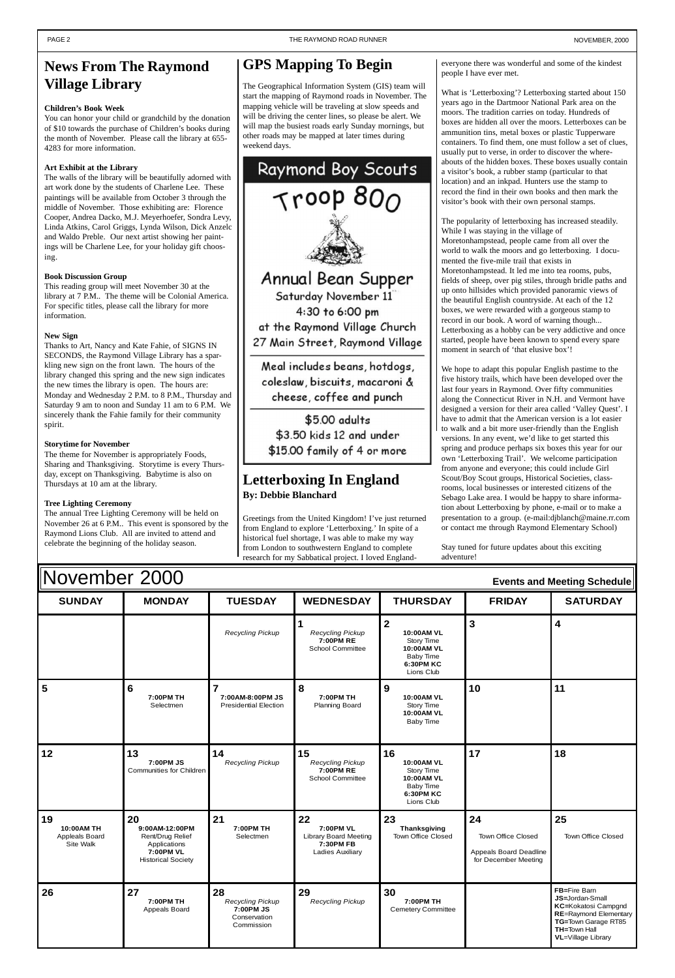| November 2000<br><b>Events and Meeting Schedule</b> |                                                                                                           |                                                                          |                                                                                         |                                                                                                         |                                                                            |                                                                                                                                                                    |
|-----------------------------------------------------|-----------------------------------------------------------------------------------------------------------|--------------------------------------------------------------------------|-----------------------------------------------------------------------------------------|---------------------------------------------------------------------------------------------------------|----------------------------------------------------------------------------|--------------------------------------------------------------------------------------------------------------------------------------------------------------------|
| <b>SUNDAY</b>                                       | <b>MONDAY</b>                                                                                             | <b>TUESDAY</b>                                                           | <b>WEDNESDAY</b>                                                                        | <b>THURSDAY</b>                                                                                         | <b>FRIDAY</b>                                                              | <b>SATURDAY</b>                                                                                                                                                    |
|                                                     |                                                                                                           | <b>Recycling Pickup</b>                                                  | $\mathbf 1$<br><b>Recycling Pickup</b><br>7:00PM RE<br><b>School Committee</b>          | $\overline{2}$<br>10:00AM VL<br>Story Time<br>10:00AM VL<br>Baby Time<br><b>6:30PM KC</b><br>Lions Club | 3                                                                          | $\overline{\mathbf{4}}$                                                                                                                                            |
| 5                                                   | 6<br>7:00PM TH<br>Selectmen                                                                               | $\overline{7}$<br>7:00AM-8:00PM JS<br><b>Presidential Election</b>       | 8<br>7:00PM TH<br><b>Planning Board</b>                                                 | 9<br>10:00AM VL<br>Story Time<br>10:00AM VL<br><b>Baby Time</b>                                         | 10                                                                         | 11                                                                                                                                                                 |
| 12                                                  | 13<br>7:00PM JS<br><b>Communities for Children</b>                                                        | 14<br><b>Recycling Pickup</b>                                            | 15<br>Recycling Pickup<br>7:00PM RE<br><b>School Committee</b>                          | 16<br>10:00AM VL<br>Story Time<br>10:00AM VL<br><b>Baby Time</b><br><b>6:30PM KC</b><br>Lions Club      | 17                                                                         | 18                                                                                                                                                                 |
| 19<br>10:00AM TH<br>Appleals Board<br>Site Walk     | 20<br>9:00AM-12:00PM<br>Rent/Drug Relief<br>Applications<br><b>7:00PM VL</b><br><b>Historical Society</b> | 21<br>7:00PM TH<br>Selectmen                                             | 22<br>7:00PM VL<br><b>Library Board Meeting</b><br>7:30PM FB<br><b>Ladies Auxiliary</b> | 23<br><b>Thanksgiving</b><br>Town Office Closed                                                         | 24<br>Town Office Closed<br>Appeals Board Deadline<br>for December Meeting | 25<br><b>Town Office Closed</b>                                                                                                                                    |
| 26                                                  | 27<br>7:00PM TH<br>Appeals Board                                                                          | 28<br><b>Recycling Pickup</b><br>7:00PM JS<br>Conservation<br>Commission | 29<br><b>Recycling Pickup</b>                                                           | 30<br>7:00PM TH<br><b>Cemetery Committee</b>                                                            |                                                                            | FB=Fire Barn<br>JS=Jordan-Small<br>KC=Kokatosi Campgnd<br><b>RE=Raymond Elementary</b><br>TG=Town Garage RT85<br><b>TH=Town Hall</b><br><b>VL</b> =Village Library |

# <span id="page-1-0"></span>**News From The Raymond Village Library**

#### **Children's Book Week**

You can honor your child or grandchild by the donation of \$10 towards the purchase of Children's books during the month of November. Please call the library at 655- 4283 for more information.

#### **Art Exhibit at the Library**

The walls of the library will be beautifully adorned with art work done by the students of Charlene Lee. These paintings will be available from October 3 through the middle of November. Those exhibiting are: Florence Cooper, Andrea Dacko, M.J. Meyerhoefer, Sondra Levy, Linda Atkins, Carol Griggs, Lynda Wilson, Dick Anzelc and Waldo Preble. Our next artist showing her paintings will be Charlene Lee, for your holiday gift choosing.

#### **Book Discussion Group**

This reading group will meet November 30 at the library at 7 P.M.. The theme will be Colonial America. For specific titles, please call the library for more information.

#### **New Sign**

Thanks to Art, Nancy and Kate Fahie, of SIGNS IN SECONDS, the Raymond Village Library has a sparkling new sign on the front lawn. The hours of the library changed this spring and the new sign indicates the new times the library is open. The hours are: Monday and Wednesday 2 P.M. to 8 P.M., Thursday and Saturday 9 am to noon and Sunday 11 am to 6 P.M. We sincerely thank the Fahie family for their community spirit.

#### **Storytime for November**

The theme for November is appropriately Foods, Sharing and Thanksgiving. Storytime is every Thursday, except on Thanksgiving. Babytime is also on Thursdays at 10 am at the library.

#### **Tree Lighting Ceremony**

The annual Tree Lighting Ceremony will be held on November 26 at 6 P.M.. This event is sponsored by the Raymond Lions Club. All are invited to attend and celebrate the beginning of the holiday season.

## **Letterboxing In England By: Debbie Blanchard**

Greetings from the United Kingdom! I've just returned from England to explore 'Letterboxing.' In spite of a historical fuel shortage, I was able to make my way from London to southwestern England to complete research for my Sabbatical project. I loved Englandeveryone there was wonderful and some of the kindest people I have ever met.

What is 'Letterboxing'? Letterboxing started about 150 years ago in the Dartmoor National Park area on the moors. The tradition carries on today. Hundreds of boxes are hidden all over the moors. Letterboxes can be ammunition tins, metal boxes or plastic Tupperware containers. To find them, one must follow a set of clues, usually put to verse, in order to discover the whereabouts of the hidden boxes. These boxes usually contain a visitor's book, a rubber stamp (particular to that location) and an inkpad. Hunters use the stamp to record the find in their own books and then mark the visitor's book with their own personal stamps.

The popularity of letterboxing has increased steadily. While I was staying in the village of Moretonhampstead, people came from all over the world to walk the moors and go letterboxing. I documented the five-mile trail that exists in Moretonhampstead. It led me into tea rooms, pubs, fields of sheep, over pig stiles, through bridle paths and up onto hillsides which provided panoramic views of the beautiful English countryside. At each of the 12 boxes, we were rewarded with a gorgeous stamp to record in our book. A word of warning though... Letterboxing as a hobby can be very addictive and once started, people have been known to spend every spare moment in search of 'that elusive box'!

We hope to adapt this popular English pastime to the five history trails, which have been developed over the last four years in Raymond. Over fifty communities along the Connecticut River in N.H. and Vermont have designed a version for their area called 'Valley Quest'. I have to admit that the American version is a lot easier to walk and a bit more user-friendly than the English versions. In any event, we'd like to get started this spring and produce perhaps six boxes this year for our own 'Letterboxing Trail'. We welcome participation from anyone and everyone; this could include Girl Scout/Boy Scout groups, Historical Societies, classrooms, local businesses or interested citizens of the Sebago Lake area. I would be happy to share information about Letterboxing by phone, e-mail or to make a presentation to a group. (e-mail:djblanch@maine.rr.com or contact me through Raymond Elementary School)

Stay tuned for future updates about this exciting adventure!

# **GPS Mapping To Begin**

The Geographical Information System (GIS) team will start the mapping of Raymond roads in November. The mapping vehicle will be traveling at slow speeds and will be driving the center lines, so please be alert. We will map the busiest roads early Sunday mornings, but other roads may be mapped at later times during weekend days.



\$5.00 adults \$3.50 kids 12 and under \$15.00 family of 4 or more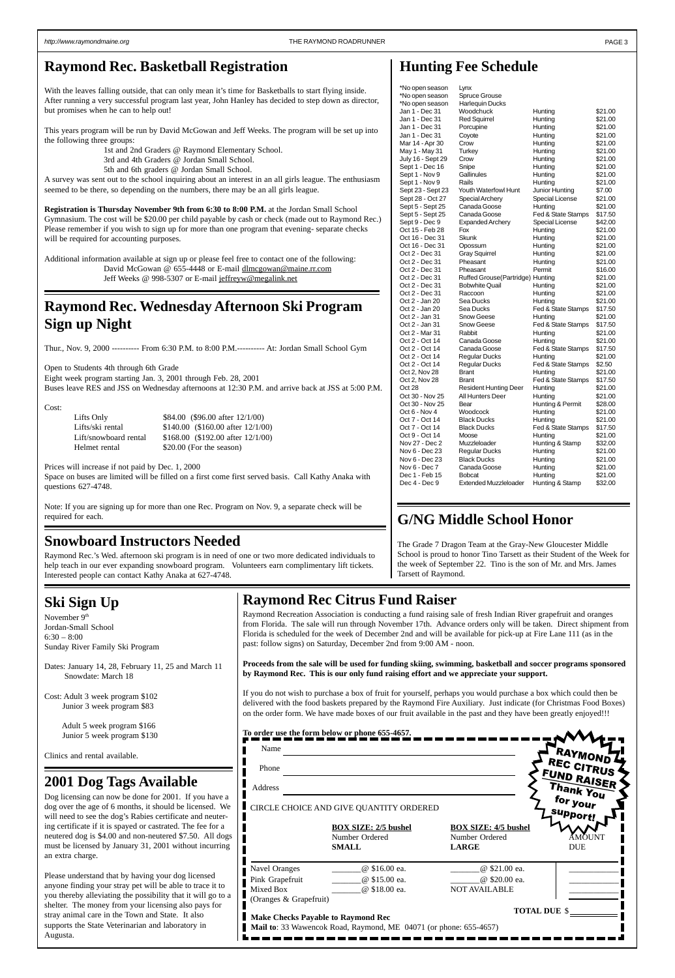#### <span id="page-2-0"></span>http://www.raymondmaine.org PAGE 3

| Name                                                                                                                           |                                                               |                                                               | "RAYMOND                 |  |  |
|--------------------------------------------------------------------------------------------------------------------------------|---------------------------------------------------------------|---------------------------------------------------------------|--------------------------|--|--|
| Phone                                                                                                                          |                                                               |                                                               | REC CITRUS               |  |  |
| Address                                                                                                                        |                                                               |                                                               | FUND RAISER<br>Thank You |  |  |
|                                                                                                                                | CIRCLE CHOICE AND GIVE QUANTITY ORDERED                       |                                                               | for your                 |  |  |
|                                                                                                                                | <b>BOX SIZE: 2/5 bushel</b><br>Number Ordered<br><b>SMALL</b> | <b>BOX SIZE: 4/5 bushel</b><br>Number Ordered<br><b>LARGE</b> | support!<br><b>DUE</b>   |  |  |
| <b>Navel Oranges</b>                                                                                                           | @ \$16.00 ea.                                                 | @ \$21.00 ea.                                                 |                          |  |  |
| Pink Grapefruit                                                                                                                | @ \$15.00 ea.                                                 | @ \$20.00 ea.                                                 |                          |  |  |
| Mixed Box                                                                                                                      | @ \$18.00 ea.                                                 | <b>NOT AVAILABLE</b>                                          |                          |  |  |
| (Oranges & Grapefruit)                                                                                                         |                                                               |                                                               |                          |  |  |
| <b>TOTAL DUE \$</b><br>Make Checks Payable to Raymond Rec<br>Mail to: 33 Wawencok Road, Raymond, ME 04071 (or phone: 655-4657) |                                                               |                                                               |                          |  |  |
|                                                                                                                                |                                                               |                                                               |                          |  |  |

# **Raymond Rec Citrus Fund Raiser**

Raymond Recreation Association is conducting a fund raising sale of fresh Indian River grapefruit and oranges from Florida. The sale will run through November 17th. Advance orders only will be taken. Direct shipment from Florida is scheduled for the week of December 2nd and will be available for pick-up at Fire Lane 111 (as in the past: follow signs) on Saturday, December 2nd from 9:00 AM - noon.

**Proceeds from the sale will be used for funding skiing, swimming, basketball and soccer programs sponsored by Raymond Rec. This is our only fund raising effort and we appreciate your support.**

If you do not wish to purchase a box of fruit for yourself, perhaps you would purchase a box which could then be delivered with the food baskets prepared by the Raymond Fire Auxiliary. Just indicate (for Christmas Food Boxes) on the order form. We have made boxes of our fruit available in the past and they have been greatly enjoyed!!!

#### **To order use the form below or phone 655-4657.**

## **2001 Dog Tags Available**

Dog licensing can now be done for 2001. If you have a dog over the age of 6 months, it should be licensed. We will need to see the dog's Rabies certificate and neutering certificate if it is spayed or castrated. The fee for a neutered dog is \$4.00 and non-neutered \$7.50. All dogs must be licensed by January 31, 2001 without incurring an extra charge.

Please understand that by having your dog licensed anyone finding your stray pet will be able to trace it to you thereby alleviating the possibility that it will go to a shelter. The money from your licensing also pays for stray animal care in the Town and State. It also supports the State Veterinarian and laboratory in Augusta.

 $*$ Nc

With the leaves falling outside, that can only mean it's time for Basketballs to start flying inside. After running a very successful program last year, John Hanley has decided to step down as director, but promises when he can to help out!

Lifts Only \$84.00 (\$96.00 after 12/1/00) Lifts/ski rental \$140.00 (\$160.00 after 12/1/00) Lift/snowboard rental \$168.00 (\$192.00 after 12/1/00) Helmet rental \$20.00 (For the season)

November 9<sup>th</sup> Jordan-Small School 6:30 – 8:00 Sunday River Family Ski Program

| *No open season   | Lynx                                       |                    |                    |
|-------------------|--------------------------------------------|--------------------|--------------------|
| *No open season   | Spruce Grouse                              |                    |                    |
| *No open season   | <b>Harlequin Ducks</b>                     |                    |                    |
| Jan 1 - Dec 31    | Woodchuck                                  | Hunting            | \$21.00            |
| Jan 1 - Dec 31    | <b>Red Squirrel</b>                        | Hunting            | \$21.00            |
| Jan 1 - Dec 31    | Porcupine                                  | Hunting            | \$21.00            |
| Jan 1 - Dec 31    | Coyote                                     | Hunting            | \$21.00            |
| Mar 14 - Apr 30   | Crow                                       | Hunting            | \$21.00            |
| May 1 - May 31    | Turkey                                     | Hunting            | \$21.00            |
| July 16 - Sept 29 | Crow                                       | Hunting            | \$21.00            |
| Sept 1 - Dec 16   | Snipe                                      | Hunting            | \$21.00            |
| Sept 1 - Nov 9    | Gallinules                                 | Hunting            | \$21.00            |
| Sept 1 - Nov 9    | Rails                                      | Hunting            | \$21.00            |
| Sept 23 - Sept 23 | Youth Waterfowl Hunt                       | Junior Hunting     | \$7.00             |
| Sept 28 - Oct 27  | Special Archery                            | Special License    | \$21.00            |
| Sept 5 - Sept 25  | Canada Goose                               | Hunting            | \$21.00            |
| Sept 5 - Sept 25  | Canada Goose                               | Fed & State Stamps | \$17.50            |
| Sept 9 - Dec 9    | Expanded Archery                           | Special License    | \$42.00            |
| Oct 15 - Feb 28   | Fox                                        | Hunting            | \$21.00            |
| Oct 16 - Dec 31   | Skunk                                      | Hunting            | \$21.00            |
| Oct 16 - Dec 31   | Opossum                                    | Hunting            | \$21.00            |
| Oct 2 - Dec 31    | <b>Gray Squirrel</b>                       | Hunting            | \$21.00            |
| Oct 2 - Dec 31    | Pheasant                                   | Hunting            | \$21.00            |
| Oct 2 - Dec 31    | Pheasant                                   | Permit             | \$16.00            |
| Oct 2 - Dec 31    | Ruffed Grouse (Partridge) Hunting          |                    | \$21.00            |
| Oct 2 - Dec 31    | <b>Bobwhite Quail</b>                      | Hunting            | \$21.00            |
| Oct 2 - Dec 31    | Raccoon                                    | Hunting            | \$21.00            |
| Oct 2 - Jan 20    | Sea Ducks                                  | Hunting            | \$21.00            |
| Oct 2 - Jan 20    | Sea Ducks                                  | Fed & State Stamps | \$17.50            |
| Oct 2 - Jan 31    | Snow Geese                                 | Hunting            | \$21.00            |
| Oct 2 - Jan 31    | Snow Geese                                 | Fed & State Stamps | \$17.50            |
| Oct 2 - Mar 31    | Rabbit                                     | Hunting            | \$21.00            |
| Oct 2 - Oct 14    | Canada Goose                               | Hunting            | \$21.00            |
| Oct 2 - Oct 14    | Canada Goose                               | Fed & State Stamps | \$17.50            |
| Oct 2 - Oct 14    | <b>Regular Ducks</b>                       | Hunting            | \$21.00            |
| Oct 2 - Oct 14    | <b>Regular Ducks</b>                       | Fed & State Stamps | \$2.50             |
| Oct 2, Nov 28     | <b>Brant</b>                               | Hunting            | \$21.00            |
| Oct 2, Nov 28     | <b>Brant</b>                               | Fed & State Stamps | \$17.50            |
| Oct 28            | <b>Resident Hunting Deer</b>               | Hunting            | \$21.00            |
| Oct 30 - Nov 25   | All Hunters Deer                           | Hunting            | \$21.00            |
| Oct 30 - Nov 25   | Bear                                       | Hunting & Permit   | \$28.00            |
| Oct 6 - Nov 4     | Woodcock                                   | Hunting            | \$21.00            |
| Oct 7 - Oct 14    | <b>Black Ducks</b>                         | Hunting            | \$21.00            |
| Oct 7 - Oct 14    | <b>Black Ducks</b>                         | Fed & State Stamps | \$17.50            |
| Oct 9 - Oct 14    | Moose                                      | Hunting            | \$21.00            |
| Nov 27 - Dec 2    | Muzzleloader                               | Hunting & Stamp    | \$32.00            |
| Nov 6 - Dec 23    |                                            |                    |                    |
| Nov 6 - Dec 23    | <b>Regular Ducks</b><br><b>Black Ducks</b> | Hunting            | \$21.00<br>\$21.00 |
|                   |                                            | Hunting            |                    |
| Nov 6 - Dec 7     | Canada Goose                               | Hunting            | \$21.00            |
| Dec 1 - Feb 15    | <b>Bobcat</b>                              | Hunting            | \$21.00            |

## **Raymond Rec. Basketball Registration**

This years program will be run by David McGowan and Jeff Weeks. The program will be set up into the following three groups:

1st and 2nd Graders @ Raymond Elementary School.

3rd and 4th Graders @ Jordan Small School.

5th and 6th graders @ Jordan Small School.

A survey was sent out to the school inquiring about an interest in an all girls league. The enthusiasm seemed to be there, so depending on the numbers, there may be an all girls league.

**Registration is Thursday November 9th from 6:30 to 8:00 P.M.** at the Jordan Small School Gymnasium. The cost will be \$20.00 per child payable by cash or check (made out to Raymond Rec.) Please remember if you wish to sign up for more than one program that evening- separate checks will be required for accounting purposes.

Additional information available at sign up or please feel free to contact one of the following: David McGowan @ 655-4448 or E-mail dlmcgowan@maine.rr.com Jeff Weeks @ 998-5307 or E-mail jeffreyw@megalink.net

## **Raymond Rec. Wednesday Afternoon Ski Program Sign up Night**

Thur., Nov. 9, 2000 ---------- From 6:30 P.M. to 8:00 P.M.---------- At: Jordan Small School Gym

Open to Students 4th through 6th Grade Eight week program starting Jan. 3, 2001 through Feb. 28, 2001 Buses leave RES and JSS on Wednesday afternoons at 12:30 P.M. and arrive back at JSS at 5:00 P.M.

Cost:

Prices will increase if not paid by Dec. 1, 2000

Space on buses are limited will be filled on a first come first served basis. Call Kathy Anaka with questions 627-4748.

Note: If you are signing up for more than one Rec. Program on Nov. 9, a separate check will be required for each.

# **Ski Sign Up**

Dates: January 14, 28, February 11, 25 and March 11 Snowdate: March 18

Cost: Adult 3 week program \$102 Junior 3 week program \$83

> Adult 5 week program \$166 Junior 5 week program \$130

Clinics and rental available.

## **Snowboard Instructors Needed**

Raymond Rec.'s Wed. afternoon ski program is in need of one or two more dedicated individuals to help teach in our ever expanding snowboard program. Volunteers earn complimentary lift tickets. Interested people can contact Kathy Anaka at 627-4748.

# **G/NG Middle School Honor**

The Grade 7 Dragon Team at the Gray-New Gloucester Middle School is proud to honor Tino Tarsett as their Student of the Week for the week of September 22. Tino is the son of Mr. and Mrs. James Tarsett of Raymond.

Dec 4 - Dec 9 Extended Muzzleloader Hunting & Stamp \$32.00